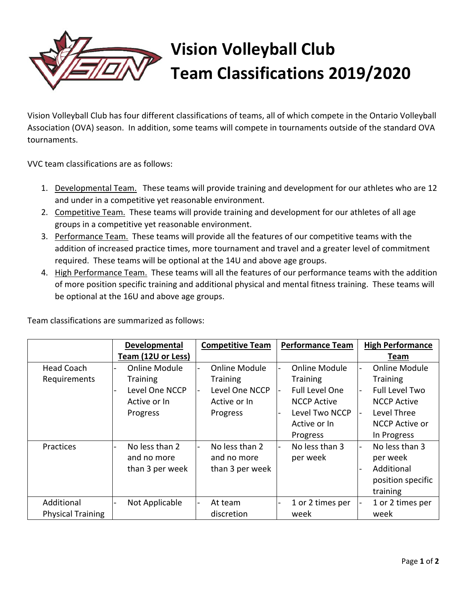

## **Vision Volleyball Club Team Classifications 2019/2020**

Vision Volleyball Club has four different classifications of teams, all of which compete in the Ontario Volleyball Association (OVA) season. In addition, some teams will compete in tournaments outside of the standard OVA tournaments.

VVC team classifications are as follows:

- 1. Developmental Team. These teams will provide training and development for our athletes who are 12 and under in a competitive yet reasonable environment.
- 2. Competitive Team. These teams will provide training and development for our athletes of all age groups in a competitive yet reasonable environment.
- 3. Performance Team. These teams will provide all the features of our competitive teams with the addition of increased practice times, more tournament and travel and a greater level of commitment required. These teams will be optional at the 14U and above age groups.
- 4. High Performance Team. These teams will all the features of our performance teams with the addition of more position specific training and additional physical and mental fitness training. These teams will be optional at the 16U and above age groups.

|                          | Developmental                 | <b>Competitive Team</b>       | <b>Performance Team</b> | <b>High Performance</b>                 |
|--------------------------|-------------------------------|-------------------------------|-------------------------|-----------------------------------------|
|                          | Team (12U or Less)            |                               |                         | Team                                    |
| Head Coach               | <b>Online Module</b>          | Online Module                 | Online Module           | <b>Online Module</b><br>$\blacksquare$  |
| Requirements             | <b>Training</b>               | <b>Training</b>               | <b>Training</b>         | <b>Training</b>                         |
|                          | Level One NCCP                | Level One NCCP                | <b>Full Level One</b>   | <b>Full Level Two</b><br>$\blacksquare$ |
|                          | Active or In                  | Active or In                  | <b>NCCP Active</b>      | <b>NCCP Active</b>                      |
|                          | Progress                      | Progress                      | Level Two NCCP          | Level Three<br>$\overline{\phantom{a}}$ |
|                          |                               |                               | Active or In            | NCCP Active or                          |
|                          |                               |                               | Progress                | In Progress                             |
| Practices                | No less than 2<br>and no more | No less than 2<br>and no more | No less than 3          | No less than 3<br>$\blacksquare$        |
|                          |                               |                               | per week                | per week                                |
|                          | than 3 per week               | than 3 per week               |                         | Additional                              |
|                          |                               |                               |                         | position specific                       |
|                          |                               |                               |                         | training                                |
| Additional               | Not Applicable                | At team                       | 1 or 2 times per        | 1 or 2 times per                        |
| <b>Physical Training</b> |                               | discretion                    | week                    | week                                    |

Team classifications are summarized as follows: